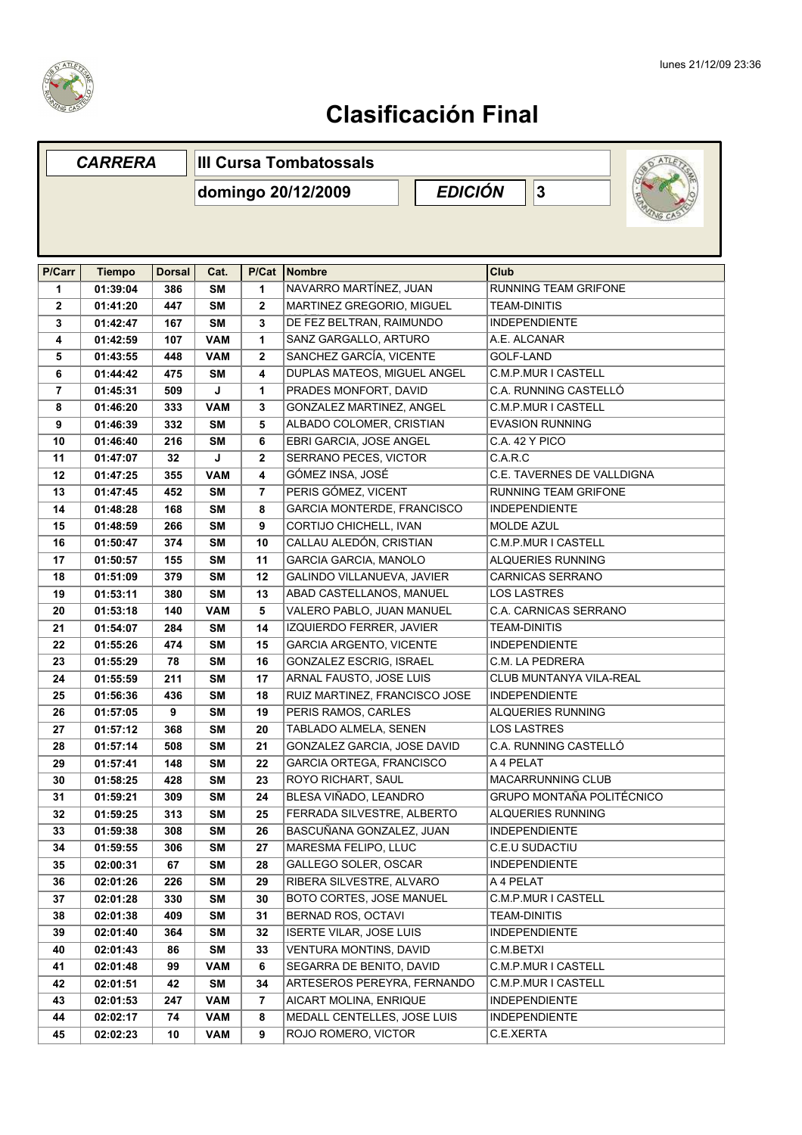

|                | <b>CARRERA</b> |               | <b>III Cursa Tombatossals</b>             |                |                                   |  |                     |                              |  |
|----------------|----------------|---------------|-------------------------------------------|----------------|-----------------------------------|--|---------------------|------------------------------|--|
|                |                |               | <b>EDICIÓN</b><br>3<br>domingo 20/12/2009 |                |                                   |  |                     |                              |  |
|                |                |               |                                           |                |                                   |  |                     |                              |  |
| P/Carr         | <b>Tiempo</b>  | <b>Dorsal</b> | Cat.                                      | P/Cat          | Nombre                            |  | Club                |                              |  |
| 1              | 01:39:04       | 386           | <b>SM</b>                                 | 1              | NAVARRO MARTÍNEZ, JUAN            |  |                     | <b>RUNNING TEAM GRIFONE</b>  |  |
| $\mathbf{2}$   | 01:41:20       | 447           | <b>SM</b>                                 | $\mathbf{2}$   | MARTINEZ GREGORIO, MIGUEL         |  | <b>TEAM-DINITIS</b> |                              |  |
| 3              | 01:42:47       | 167           | <b>SM</b>                                 | 3              | DE FEZ BELTRAN, RAIMUNDO          |  |                     | <b>INDEPENDIENTE</b>         |  |
| 4              | 01:42:59       | 107           | <b>VAM</b>                                | 1              | SANZ GARGALLO, ARTURO             |  |                     | A.E. ALCANAR                 |  |
| 5              | 01:43:55       | 448           | <b>VAM</b>                                | $\mathbf{2}$   | SANCHEZ GARCÍA, VICENTE           |  | <b>GOLF-LAND</b>    |                              |  |
| 6              | 01:44:42       | 475           | <b>SM</b>                                 | 4              | DUPLAS MATEOS, MIGUEL ANGEL       |  |                     | C.M.P.MUR I CASTELL          |  |
| $\overline{7}$ | 01:45:31       | 509           | J                                         | 1              | PRADES MONFORT, DAVID             |  |                     | C.A. RUNNING CASTELLÓ        |  |
| 8              | 01:46:20       | 333           | <b>VAM</b>                                | 3              | GONZALEZ MARTINEZ, ANGEL          |  |                     | C.M.P.MUR I CASTELL          |  |
| 9              | 01:46:39       | 332           | <b>SM</b>                                 | 5              | ALBADO COLOMER, CRISTIAN          |  |                     | <b>EVASION RUNNING</b>       |  |
| 10             | 01:46:40       | 216           | <b>SM</b>                                 | 6              | EBRI GARCIA, JOSE ANGEL           |  |                     | C.A. 42 Y PICO               |  |
| 11             | 01:47:07       | 32            | J                                         | $\mathbf{2}$   | SERRANO PECES, VICTOR             |  | C.A.R.C             |                              |  |
| 12             | 01:47:25       | 355           | <b>VAM</b>                                | 4              | GÓMEZ INSA, JOSÉ                  |  |                     | C.E. TAVERNES DE VALLDIGNA   |  |
| 13             | 01:47:45       | 452           | <b>SM</b>                                 | $\overline{7}$ | PERIS GÓMEZ, VICENT               |  |                     | <b>RUNNING TEAM GRIFONE</b>  |  |
| 14             | 01:48:28       | 168           | <b>SM</b>                                 | 8              | <b>GARCIA MONTERDE, FRANCISCO</b> |  |                     | <b>INDEPENDIENTE</b>         |  |
| 15             | 01:48:59       | 266           | <b>SM</b>                                 | 9              | CORTIJO CHICHELL, IVAN            |  | <b>MOLDE AZUL</b>   |                              |  |
| 16             | 01:50:47       | 374           | <b>SM</b>                                 | 10             | CALLAU ALEDÓN, CRISTIAN           |  |                     | <b>C.M.P.MUR I CASTELL</b>   |  |
| 17             | 01:50:57       | 155           | <b>SM</b>                                 | 11             | GARCIA GARCIA, MANOLO             |  |                     | ALQUERIES RUNNING            |  |
| 18             | 01:51:09       | 379           | <b>SM</b>                                 | 12             | GALINDO VILLANUEVA, JAVIER        |  |                     | <b>CARNICAS SERRANO</b>      |  |
| 19             | 01:53:11       | 380           | <b>SM</b>                                 | 13             | ABAD CASTELLANOS, MANUEL          |  | <b>LOS LASTRES</b>  |                              |  |
| 20             | 01:53:18       | 140           | <b>VAM</b>                                | 5              | VALERO PABLO, JUAN MANUEL         |  |                     | <b>C.A. CARNICAS SERRANO</b> |  |
| 21             | 01:54:07       | 284           | <b>SM</b>                                 | 14             | IZQUIERDO FERRER, JAVIER          |  | <b>TEAM-DINITIS</b> |                              |  |
| 22             | 01:55:26       | 474           | <b>SM</b>                                 | 15             | <b>GARCIA ARGENTO, VICENTE</b>    |  |                     | <b>INDEPENDIENTE</b>         |  |
| 23             | 01:55:29       | 78            | <b>SM</b>                                 | 16             | GONZALEZ ESCRIG, ISRAEL           |  |                     | C.M. LA PEDRERA              |  |
| 24             | 01:55:59       | 211           | <b>SM</b>                                 | 17             | ARNAL FAUSTO, JOSE LUIS           |  |                     | CLUB MUNTANYA VILA-REAL      |  |
| 25             | 01:56:36       | 436           | <b>SM</b>                                 | 18             | RUIZ MARTINEZ, FRANCISCO JOSE     |  |                     | <b>INDEPENDIENTE</b>         |  |
| 26             | 01:57:05       | 9             | <b>SM</b>                                 | 19             | PERIS RAMOS, CARLES               |  |                     | <b>ALQUERIES RUNNING</b>     |  |
| 27             | 01:57:12       | 368           | <b>SM</b>                                 | 20             | TABLADO ALMELA, SENEN             |  | <b>LOS LASTRES</b>  |                              |  |
| 28             | 01:57:14       | 508           | <b>SM</b>                                 | 21             | GONZALEZ GARCIA, JOSE DAVID       |  |                     | C.A. RUNNING CASTELLÓ        |  |
| 29             | 01:57:41       | 148           | SM                                        | 22             | <b>GARCIA ORTEGA, FRANCISCO</b>   |  | A 4 PELAT           |                              |  |
| 30             | 01:58:25       | 428           | <b>SM</b>                                 | 23             | ROYO RICHART, SAUL                |  |                     | MACARRUNNING CLUB            |  |
| 31             | 01:59:21       | 309           | SΜ                                        | 24             | BLESA VIÑADO, LEANDRO             |  |                     | GRUPO MONTAÑA POLITÉCNICO    |  |
| 32             | 01:59:25       | 313           | <b>SM</b>                                 | 25             | FERRADA SILVESTRE, ALBERTO        |  |                     | ALQUERIES RUNNING            |  |
| 33             | 01:59:38       | 308           | SΜ                                        | 26             | BASCUÑANA GONZALEZ, JUAN          |  |                     | <b>INDEPENDIENTE</b>         |  |
| 34             | 01:59:55       | 306           | <b>SM</b>                                 | 27             | MARESMA FELIPO, LLUC              |  |                     | C.E.U SUDACTIU               |  |
| 35             | 02:00:31       | 67            | <b>SM</b>                                 | 28             | GALLEGO SOLER, OSCAR              |  |                     | <b>INDEPENDIENTE</b>         |  |
| 36             | 02:01:26       | 226           | SΜ                                        | 29             | RIBERA SILVESTRE, ALVARO          |  | A 4 PELAT           |                              |  |
| 37             | 02:01:28       | 330           | SΜ                                        | 30             | BOTO CORTES, JOSE MANUEL          |  |                     | C.M.P.MUR I CASTELL          |  |
| 38             | 02:01:38       | 409           | SΜ                                        | 31             | BERNAD ROS, OCTAVI                |  | <b>TEAM-DINITIS</b> |                              |  |
| 39             | 02:01:40       | 364           | <b>SM</b>                                 | 32             | <b>ISERTE VILAR, JOSE LUIS</b>    |  |                     | <b>INDEPENDIENTE</b>         |  |
| 40             | 02:01:43       | 86            | <b>SM</b>                                 | 33             | <b>VENTURA MONTINS, DAVID</b>     |  | C.M.BETXI           |                              |  |
| 41             | 02:01:48       | 99            | <b>VAM</b>                                | 6              | SEGARRA DE BENITO, DAVID          |  |                     | C.M.P.MUR I CASTELL          |  |
| 42             | 02:01:51       | 42            | SM                                        | 34             | ARTESEROS PEREYRA, FERNANDO       |  |                     | C.M.P.MUR I CASTELL          |  |
| 43             | 02:01:53       | 247           | <b>VAM</b>                                | $\overline{7}$ | AICART MOLINA, ENRIQUE            |  |                     | <b>INDEPENDIENTE</b>         |  |
| 44             | 02:02:17       | 74            | <b>VAM</b>                                | 8              | MEDALL CENTELLES, JOSE LUIS       |  |                     | <b>INDEPENDIENTE</b>         |  |
| 45             | 02:02:23       | 10            | <b>VAM</b>                                | 9              | ROJO ROMERO, VICTOR               |  | C.E.XERTA           |                              |  |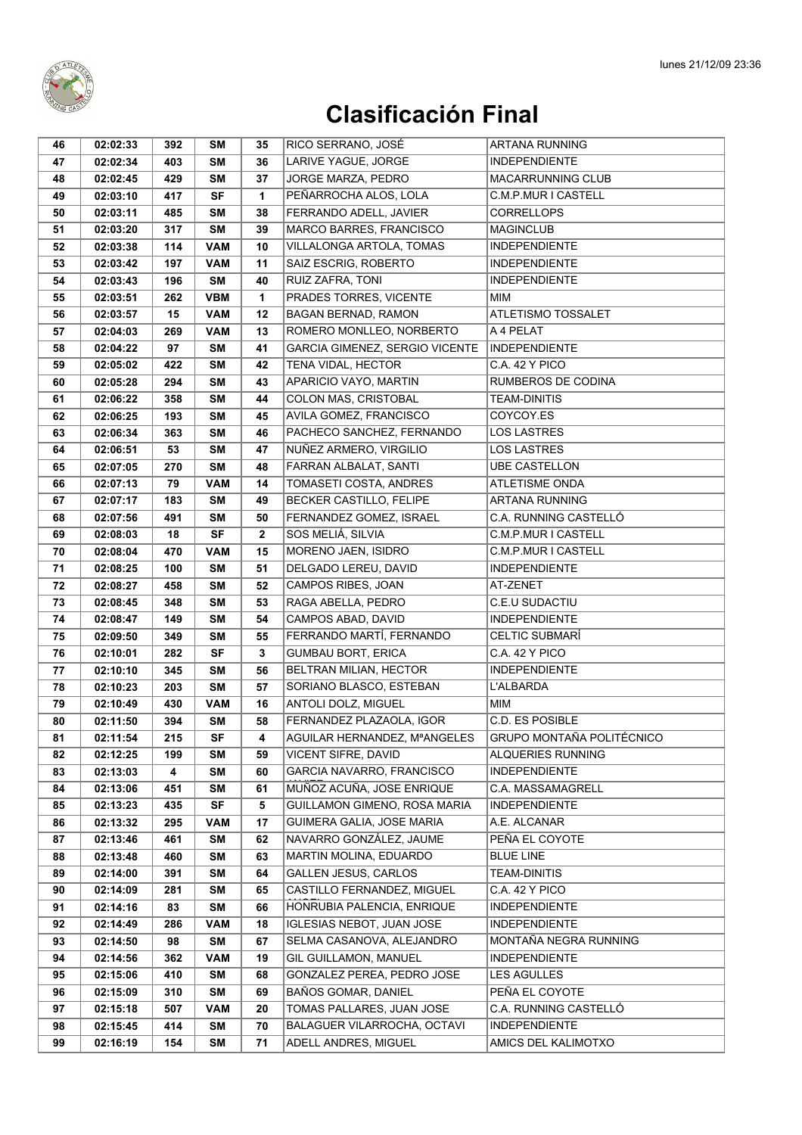

| 46 | 02:02:33 | 392 | SΜ         | 35           | RICO SERRANO, JOSÉ                    | ARTANA RUNNING                   |
|----|----------|-----|------------|--------------|---------------------------------------|----------------------------------|
| 47 | 02:02:34 | 403 | <b>SM</b>  | 36           | LARIVE YAGUE, JORGE                   | <b>INDEPENDIENTE</b>             |
| 48 | 02:02:45 | 429 | <b>SM</b>  | 37           | JORGE MARZA, PEDRO                    | <b>MACARRUNNING CLUB</b>         |
| 49 | 02:03:10 | 417 | <b>SF</b>  | $\mathbf{1}$ | PEÑARROCHA ALOS, LOLA                 | C.M.P.MUR I CASTELL              |
| 50 | 02:03:11 | 485 | <b>SM</b>  | 38           | FERRANDO ADELL, JAVIER                | <b>CORRELLOPS</b>                |
| 51 | 02:03:20 | 317 | <b>SM</b>  | 39           | MARCO BARRES, FRANCISCO               | <b>MAGINCLUB</b>                 |
| 52 | 02:03:38 | 114 | <b>VAM</b> | 10           | VILLALONGA ARTOLA, TOMAS              | <b>INDEPENDIENTE</b>             |
| 53 | 02:03:42 | 197 | <b>VAM</b> | 11           | SAIZ ESCRIG, ROBERTO                  | <b>INDEPENDIENTE</b>             |
| 54 | 02:03:43 | 196 | <b>SM</b>  | 40           | RUIZ ZAFRA, TONI                      | <b>INDEPENDIENTE</b>             |
| 55 | 02:03:51 | 262 | <b>VBM</b> | 1            | PRADES TORRES, VICENTE                | MIM                              |
| 56 | 02:03:57 | 15  | <b>VAM</b> | 12           | <b>BAGAN BERNAD, RAMON</b>            | ATLETISMO TOSSALET               |
| 57 | 02:04:03 | 269 | <b>VAM</b> | 13           | ROMERO MONLLEO, NORBERTO              | A 4 PELAT                        |
| 58 | 02:04:22 | 97  | <b>SM</b>  | 41           | <b>GARCIA GIMENEZ, SERGIO VICENTE</b> | <b>INDEPENDIENTE</b>             |
| 59 | 02:05:02 | 422 | <b>SM</b>  | 42           | TENA VIDAL, HECTOR                    | C.A. 42 Y PICO                   |
| 60 | 02:05:28 | 294 | <b>SM</b>  | 43           | APARICIO VAYO, MARTIN                 | RUMBEROS DE CODINA               |
| 61 | 02:06:22 | 358 | <b>SM</b>  | 44           | <b>COLON MAS, CRISTOBAL</b>           | <b>TEAM-DINITIS</b>              |
| 62 | 02:06:25 | 193 | SM         | 45           | AVILA GOMEZ, FRANCISCO                | COYCOY.ES                        |
| 63 | 02:06:34 | 363 | <b>SM</b>  | 46           | PACHECO SANCHEZ, FERNANDO             | <b>LOS LASTRES</b>               |
| 64 | 02:06:51 | 53  | <b>SM</b>  | 47           | NUÑEZ ARMERO, VIRGILIO                | <b>LOS LASTRES</b>               |
| 65 | 02:07:05 | 270 | <b>SM</b>  | 48           | FARRAN ALBALAT, SANTI                 | <b>UBE CASTELLON</b>             |
| 66 | 02:07:13 | 79  | <b>VAM</b> | 14           | TOMASETI COSTA, ANDRES                | <b>ATLETISME ONDA</b>            |
| 67 | 02:07:17 | 183 | <b>SM</b>  | 49           | BECKER CASTILLO, FELIPE               | <b>ARTANA RUNNING</b>            |
| 68 | 02:07:56 | 491 | <b>SM</b>  | 50           | FERNANDEZ GOMEZ, ISRAEL               | C.A. RUNNING CASTELLÓ            |
| 69 | 02:08:03 | 18  | <b>SF</b>  | $\mathbf{2}$ | SOS MELIÁ, SILVIA                     | C.M.P.MUR I CASTELL              |
| 70 | 02:08:04 | 470 | <b>VAM</b> | 15           | MORENO JAEN, ISIDRO                   | C.M.P.MUR I CASTELL              |
| 71 | 02:08:25 | 100 | <b>SM</b>  | 51           | DELGADO LEREU, DAVID                  | <b>INDEPENDIENTE</b>             |
| 72 | 02:08:27 | 458 | <b>SM</b>  | 52           | CAMPOS RIBES, JOAN                    | AT-ZENET                         |
| 73 | 02:08:45 | 348 | <b>SM</b>  | 53           | RAGA ABELLA, PEDRO                    | C.E.U SUDACTIU                   |
| 74 | 02:08:47 | 149 | <b>SM</b>  | 54           | CAMPOS ABAD, DAVID                    | <b>INDEPENDIENTE</b>             |
| 75 | 02:09:50 | 349 | SΜ         | 55           | FERRANDO MARTÍ, FERNANDO              | <b>CELTIC SUBMARÍ</b>            |
| 76 | 02:10:01 | 282 | <b>SF</b>  | 3            | <b>GUMBAU BORT, ERICA</b>             | C.A. 42 Y PICO                   |
| 77 | 02:10:10 | 345 | <b>SM</b>  | 56           | BELTRAN MILIAN, HECTOR                | <b>INDEPENDIENTE</b>             |
| 78 | 02:10:23 | 203 | <b>SM</b>  | 57           | SORIANO BLASCO, ESTEBAN               | L'ALBARDA                        |
| 79 | 02:10:49 | 430 | <b>VAM</b> | 16           | ANTOLI DOLZ, MIGUEL                   | MIM                              |
| 80 | 02:11:50 | 394 | SM         | 58           | FERNANDEZ PLAZAOLA, IGOR              | C.D. ES POSIBLE                  |
| 81 | 02:11:54 | 215 | SF         | 4            | AGUILAR HERNANDEZ, MªANGELES          | <b>GRUPO MONTAÑA POLITÉCNICO</b> |
| 82 | 02:12:25 | 199 | <b>SM</b>  | 59           | VICENT SIFRE, DAVID                   | ALQUERIES RUNNING                |
| 83 | 02:13:03 | 4   | <b>SM</b>  | 60           | GARCIA NAVARRO, FRANCISCO             | <b>INDEPENDIENTE</b>             |
| 84 | 02:13:06 | 451 | <b>SM</b>  | 61           | MUÑOZ ACUÑA, JOSE ENRIQUE             | C.A. MASSAMAGRELL                |
| 85 | 02:13:23 | 435 | <b>SF</b>  | 5            | GUILLAMON GIMENO, ROSA MARIA          | <b>INDEPENDIENTE</b>             |
| 86 | 02:13:32 | 295 | <b>VAM</b> | 17           | GUIMERA GALIA, JOSE MARIA             | A.E. ALCANAR                     |
| 87 | 02:13:46 | 461 | SM         | 62           | NAVARRO GONZÁLEZ, JAUME               | PEÑA EL COYOTE                   |
| 88 | 02:13:48 | 460 | <b>SM</b>  | 63           | MARTIN MOLINA, EDUARDO                | <b>BLUE LINE</b>                 |
| 89 | 02:14:00 | 391 | <b>SM</b>  | 64           | <b>GALLEN JESUS, CARLOS</b>           | <b>TEAM-DINITIS</b>              |
| 90 | 02:14:09 | 281 | SM         | 65           | CASTILLO FERNANDEZ, MIGUEL            | C.A. 42 Y PICO                   |
| 91 | 02:14:16 | 83  | SM         | 66           | HONRUBIA PALENCIA, ENRIQUE            | <b>INDEPENDIENTE</b>             |
| 92 | 02:14:49 | 286 | <b>VAM</b> | 18           | <b>IGLESIAS NEBOT, JUAN JOSE</b>      | <b>INDEPENDIENTE</b>             |
| 93 | 02:14:50 | 98  | <b>SM</b>  | 67           | SELMA CASANOVA, ALEJANDRO             | MONTAÑA NEGRA RUNNING            |
| 94 | 02:14:56 | 362 | VAM        | 19           | GIL GUILLAMON, MANUEL                 | <b>INDEPENDIENTE</b>             |
| 95 | 02:15:06 | 410 | SM         | 68           | GONZALEZ PEREA, PEDRO JOSE            | <b>LES AGULLES</b>               |
| 96 | 02:15:09 | 310 | SM         | 69           | BAÑOS GOMAR, DANIEL                   | PEÑA EL COYOTE                   |
| 97 | 02:15:18 | 507 | <b>VAM</b> | 20           | TOMAS PALLARES, JUAN JOSE             | C.A. RUNNING CASTELLÓ            |
| 98 | 02:15:45 | 414 | SM         | 70           | BALAGUER VILARROCHA, OCTAVI           | <b>INDEPENDIENTE</b>             |
| 99 | 02:16:19 | 154 | SM         | 71           | ADELL ANDRES, MIGUEL                  | AMICS DEL KALIMOTXO              |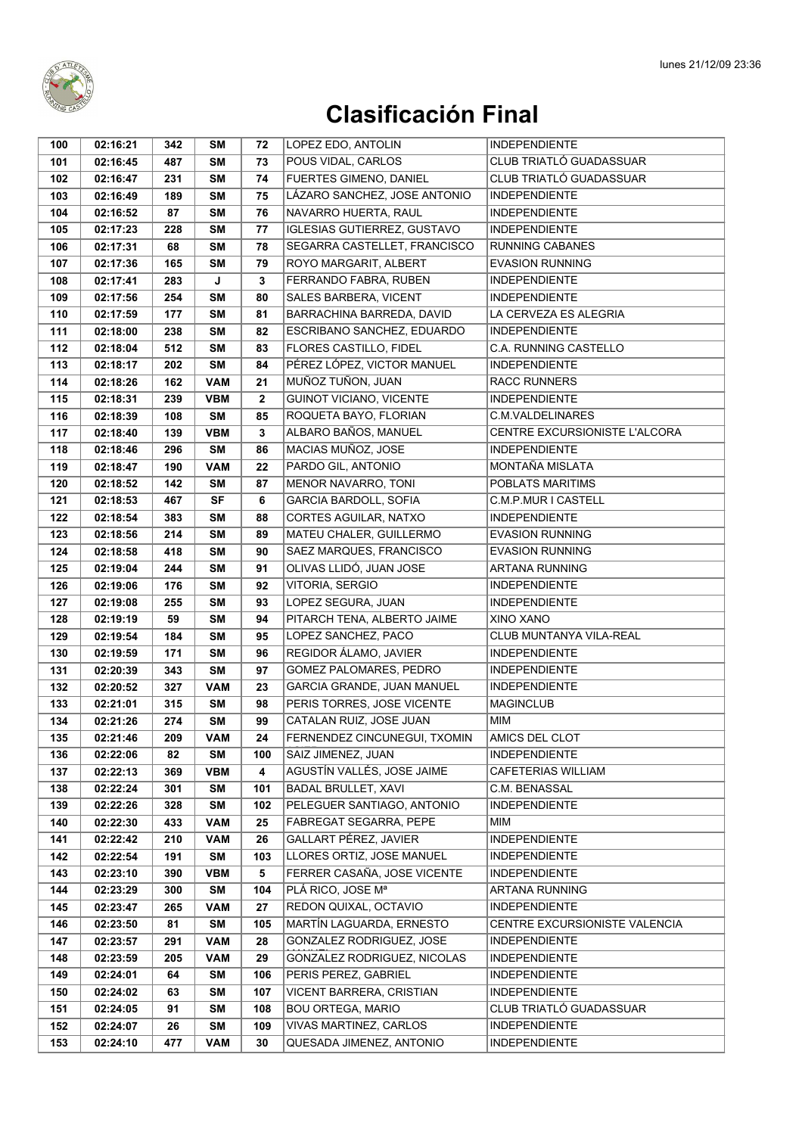

| 100 | 02:16:21 | 342 | SΜ         | 72          | LOPEZ EDO, ANTOLIN                                        | <b>INDEPENDIENTE</b>                            |
|-----|----------|-----|------------|-------------|-----------------------------------------------------------|-------------------------------------------------|
| 101 | 02:16:45 | 487 | <b>SM</b>  | 73          | POUS VIDAL, CARLOS                                        | CLUB TRIATLÓ GUADASSUAR                         |
| 102 | 02:16:47 | 231 | <b>SM</b>  | 74          | <b>FUERTES GIMENO. DANIEL</b>                             | CLUB TRIATLÓ GUADASSUAR                         |
| 103 | 02:16:49 | 189 | <b>SM</b>  | 75          | LÁZARO SANCHEZ, JOSE ANTONIO                              | <b>INDEPENDIENTE</b>                            |
| 104 | 02:16:52 | 87  | <b>SM</b>  | 76          | NAVARRO HUERTA, RAUL                                      | <b>INDEPENDIENTE</b>                            |
| 105 | 02:17:23 | 228 | <b>SM</b>  | 77          | <b>IGLESIAS GUTIERREZ, GUSTAVO</b>                        | <b>INDEPENDIENTE</b>                            |
| 106 | 02:17:31 | 68  | <b>SM</b>  | 78          | SEGARRA CASTELLET, FRANCISCO                              | <b>RUNNING CABANES</b>                          |
| 107 | 02:17:36 | 165 | <b>SM</b>  | 79          | ROYO MARGARIT, ALBERT                                     | <b>EVASION RUNNING</b>                          |
| 108 | 02:17:41 | 283 | J          | 3           | FERRANDO FABRA, RUBEN                                     | <b>INDEPENDIENTE</b>                            |
| 109 | 02:17:56 | 254 | <b>SM</b>  | 80          | SALES BARBERA, VICENT                                     | <b>INDEPENDIENTE</b>                            |
| 110 | 02:17:59 | 177 | <b>SM</b>  | 81          | BARRACHINA BARREDA, DAVID                                 | LA CERVEZA ES ALEGRIA                           |
| 111 | 02:18:00 | 238 | <b>SM</b>  | 82          | ESCRIBANO SANCHEZ, EDUARDO                                | <b>INDEPENDIENTE</b>                            |
| 112 | 02:18:04 | 512 | <b>SM</b>  | 83          | FLORES CASTILLO, FIDEL                                    | C.A. RUNNING CASTELLO                           |
| 113 | 02:18:17 | 202 | <b>SM</b>  | 84          | PÉREZ LÓPEZ, VICTOR MANUEL                                | <b>INDEPENDIENTE</b>                            |
| 114 | 02:18:26 | 162 | <b>VAM</b> | 21          | MUÑOZ TUÑON, JUAN                                         | RACC RUNNERS                                    |
| 115 | 02:18:31 | 239 | <b>VBM</b> | $\mathbf 2$ | <b>GUINOT VICIANO, VICENTE</b>                            | <b>INDEPENDIENTE</b>                            |
| 116 | 02:18:39 | 108 | <b>SM</b>  | 85          | ROQUETA BAYO, FLORIAN                                     | <b>C.M.VALDELINARES</b>                         |
| 117 | 02:18:40 | 139 | <b>VBM</b> | 3           | ALBARO BAÑOS, MANUEL                                      | CENTRE EXCURSIONISTE L'ALCORA                   |
| 118 | 02:18:46 | 296 | <b>SM</b>  | 86          | MACIAS MUÑOZ, JOSE                                        | <b>INDEPENDIENTE</b>                            |
| 119 | 02:18:47 | 190 | <b>VAM</b> | 22          | PARDO GIL, ANTONIO                                        | MONTAÑA MISLATA                                 |
| 120 | 02:18:52 | 142 | <b>SM</b>  | 87          | MENOR NAVARRO, TONI                                       | POBLATS MARITIMS                                |
| 121 | 02:18:53 | 467 | <b>SF</b>  | 6           | GARCIA BARDOLL, SOFIA                                     | C.M.P.MUR I CASTELL                             |
| 122 | 02:18:54 | 383 | <b>SM</b>  | 88          | CORTES AGUILAR, NATXO                                     | <b>INDEPENDIENTE</b>                            |
| 123 | 02:18:56 | 214 | <b>SM</b>  | 89          | MATEU CHALER, GUILLERMO                                   | <b>EVASION RUNNING</b>                          |
| 124 | 02:18:58 | 418 | <b>SM</b>  | 90          | SAEZ MARQUES, FRANCISCO                                   | <b>EVASION RUNNING</b>                          |
| 125 | 02:19:04 | 244 | <b>SM</b>  | 91          | OLIVAS LLIDÓ, JUAN JOSE                                   | ARTANA RUNNING                                  |
| 126 | 02:19:06 | 176 | SΜ         | 92          | VITORIA, SERGIO                                           | <b>INDEPENDIENTE</b>                            |
| 127 | 02:19:08 | 255 | <b>SM</b>  | 93          | LOPEZ SEGURA, JUAN                                        | <b>INDEPENDIENTE</b>                            |
| 128 | 02:19:19 | 59  | <b>SM</b>  | 94          | PITARCH TENA, ALBERTO JAIME                               | XINO XANO                                       |
| 129 | 02:19:54 | 184 | <b>SM</b>  | 95          | LOPEZ SANCHEZ, PACO                                       | CLUB MUNTANYA VILA-REAL                         |
| 130 | 02:19:59 | 171 | <b>SM</b>  | 96          | REGIDOR ÁLAMO, JAVIER                                     | <b>INDEPENDIENTE</b>                            |
| 131 | 02:20:39 | 343 | <b>SM</b>  | 97          | GOMEZ PALOMARES, PEDRO                                    | <b>INDEPENDIENTE</b>                            |
| 132 | 02:20:52 | 327 | <b>VAM</b> | 23          | GARCIA GRANDE, JUAN MANUEL                                | <b>INDEPENDIENTE</b>                            |
| 133 | 02:21:01 | 315 | <b>SM</b>  | 98          | PERIS TORRES, JOSE VICENTE                                | <b>MAGINCLUB</b>                                |
| 134 | 02:21:26 | 274 | <b>SM</b>  | 99          | CATALAN RUIZ, JOSE JUAN                                   | <b>MIM</b>                                      |
| 135 | 02:21:46 | 209 | <b>VAM</b> | 24          | FERNENDEZ CINCUNEGUI, TXOMIN                              | AMICS DEL CLOT                                  |
| 136 | 02:22:06 | 82  | SΜ         | 100         | SAIZ JIMENEZ, JUAN                                        | <b>INDEPENDIENTE</b>                            |
| 137 | 02:22:13 | 369 | <b>VBM</b> | 4           | AGUSTÍN VALLÉS, JOSE JAIME                                | <b>CAFETERIAS WILLIAM</b>                       |
| 138 | 02:22:24 | 301 | <b>SM</b>  | 101         | <b>BADAL BRULLET, XAVI</b>                                | C.M. BENASSAL                                   |
| 139 | 02:22:26 | 328 | <b>SM</b>  | 102         | PELEGUER SANTIAGO, ANTONIO                                | <b>INDEPENDIENTE</b>                            |
| 140 | 02:22:30 | 433 | <b>VAM</b> | 25          | FABREGAT SEGARRA, PEPE                                    | MIM                                             |
| 141 | 02:22:42 | 210 | <b>VAM</b> | 26          | GALLART PÉREZ, JAVIER                                     | <b>INDEPENDIENTE</b>                            |
| 142 | 02:22:54 | 191 | <b>SM</b>  | 103         | LLORES ORTIZ, JOSE MANUEL                                 | <b>INDEPENDIENTE</b>                            |
| 143 | 02:23:10 | 390 | <b>VBM</b> | 5           | FERRER CASAÑA, JOSE VICENTE                               | <b>INDEPENDIENTE</b>                            |
| 144 | 02:23:29 | 300 | <b>SM</b>  | 104         | PLÁ RICO, JOSE Mª                                         | ARTANA RUNNING                                  |
| 145 | 02:23:47 | 265 | <b>VAM</b> | 27          | REDON QUIXAL, OCTAVIO                                     | <b>INDEPENDIENTE</b>                            |
| 146 | 02:23:50 | 81  | SΜ         | 105         | MARTÍN LAGUARDA, ERNESTO                                  | CENTRE EXCURSIONISTE VALENCIA                   |
| 147 | 02:23:57 | 291 | <b>VAM</b> | 28          | GONZALEZ RODRIGUEZ, JOSE                                  | <b>INDEPENDIENTE</b>                            |
| 148 | 02:23:59 | 205 | VAM        | 29          | GONZALEZ RODRIGUEZ, NICOLAS                               | <b>INDEPENDIENTE</b>                            |
| 149 | 02:24:01 | 64  | SΜ         | 106         | PERIS PEREZ, GABRIEL                                      | <b>INDEPENDIENTE</b>                            |
| 150 | 02:24:02 | 63  | <b>SM</b>  | 107         | VICENT BARRERA, CRISTIAN                                  | <b>INDEPENDIENTE</b>                            |
| 151 | 02:24:05 | 91  | <b>SM</b>  | 108         | <b>BOU ORTEGA, MARIO</b><br><b>VIVAS MARTINEZ, CARLOS</b> | CLUB TRIATLÓ GUADASSUAR<br><b>INDEPENDIENTE</b> |
| 152 | 02:24:07 | 26  | <b>SM</b>  | 109         | QUESADA JIMENEZ, ANTONIO                                  |                                                 |
| 153 | 02:24:10 | 477 | VAM        | 30          |                                                           | <b>INDEPENDIENTE</b>                            |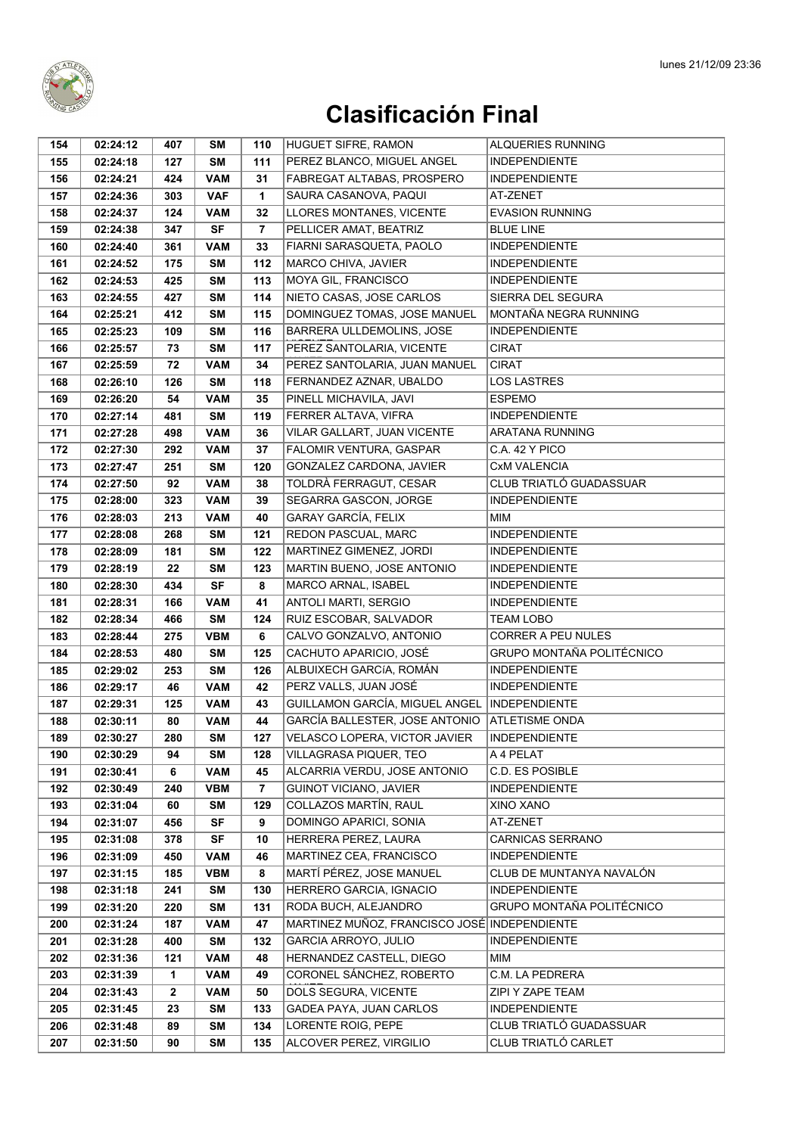

| 154        | 02:24:12             | 407          | SΜ                      | 110      | HUGUET SIFRE, RAMON                             | <b>ALQUERIES RUNNING</b>                |
|------------|----------------------|--------------|-------------------------|----------|-------------------------------------------------|-----------------------------------------|
| 155        | 02:24:18             | 127          | <b>SM</b>               | 111      | PEREZ BLANCO, MIGUEL ANGEL                      | <b>INDEPENDIENTE</b>                    |
| 156        | 02:24:21             | 424          | <b>VAM</b>              | 31       | FABREGAT ALTABAS, PROSPERO                      | <b>INDEPENDIENTE</b>                    |
| 157        | 02:24:36             | 303          | <b>VAF</b>              | 1        | SAURA CASANOVA, PAQUI                           | AT-ZENET                                |
| 158        | 02:24:37             | 124          | <b>VAM</b>              | 32       | LLORES MONTANES, VICENTE                        | <b>EVASION RUNNING</b>                  |
| 159        | 02:24:38             | 347          | <b>SF</b>               | 7        | PELLICER AMAT, BEATRIZ                          | <b>BLUE LINE</b>                        |
| 160        | 02:24:40             | 361          | <b>VAM</b>              | 33       | FIARNI SARASQUETA, PAOLO                        | <b>INDEPENDIENTE</b>                    |
| 161        | 02:24:52             | 175          | <b>SM</b>               | 112      | MARCO CHIVA, JAVIER                             | <b>INDEPENDIENTE</b>                    |
| 162        | 02:24:53             | 425          | <b>SM</b>               | 113      | MOYA GIL, FRANCISCO                             | <b>INDEPENDIENTE</b>                    |
| 163        | 02:24:55             | 427          | <b>SM</b>               | 114      | NIETO CASAS, JOSE CARLOS                        | SIERRA DEL SEGURA                       |
| 164        | 02:25:21             | 412          | <b>SM</b>               | 115      | DOMINGUEZ TOMAS, JOSE MANUEL                    | MONTAÑA NEGRA RUNNING                   |
| 165        | 02:25:23             | 109          | <b>SM</b>               | 116      | BARRERA ULLDEMOLINS, JOSE                       | <b>INDEPENDIENTE</b>                    |
| 166        | 02:25:57             | 73           | <b>SM</b>               | 117      | PEREZ SANTOLARIA, VICENTE                       | <b>CIRAT</b>                            |
| 167        | 02:25:59             | 72           | <b>VAM</b>              | 34       | PEREZ SANTOLARIA, JUAN MANUEL                   | <b>CIRAT</b>                            |
| 168        | 02:26:10             | 126          | SΜ                      | 118      | FERNANDEZ AZNAR, UBALDO                         | <b>LOS LASTRES</b>                      |
| 169        | 02:26:20             | 54           | <b>VAM</b>              | 35       | PINELL MICHAVILA, JAVI                          | <b>ESPEMO</b>                           |
| 170        | 02:27:14             | 481          | <b>SM</b>               | 119      | FERRER ALTAVA, VIFRA                            | <b>INDEPENDIENTE</b>                    |
| 171        | 02:27:28             | 498          | <b>VAM</b>              | 36       | VILAR GALLART, JUAN VICENTE                     | ARATANA RUNNING                         |
| 172        | 02:27:30             | 292          | <b>VAM</b>              | 37       | FALOMIR VENTURA, GASPAR                         | C.A. 42 Y PICO                          |
| 173        | 02:27:47             | 251          | <b>SM</b>               | 120      | GONZALEZ CARDONA, JAVIER                        | <b>CxM VALENCIA</b>                     |
| 174        | 02:27:50             | 92           | <b>VAM</b>              | 38       | TOLDRÀ FERRAGUT, CESAR                          | CLUB TRIATLÓ GUADASSUAR                 |
| 175        | 02:28:00             | 323          | <b>VAM</b>              | 39       | SEGARRA GASCON, JORGE                           | <b>INDEPENDIENTE</b>                    |
| 176        | 02:28:03             | 213          | <b>VAM</b>              | 40       | <b>GARAY GARCÍA, FELIX</b>                      | <b>MIM</b>                              |
| 177        | 02:28:08             | 268          | <b>SM</b>               | 121      | REDON PASCUAL, MARC                             | <b>INDEPENDIENTE</b>                    |
| 178        | 02:28:09             | 181          | <b>SM</b>               | 122      | MARTINEZ GIMENEZ, JORDI                         | <b>INDEPENDIENTE</b>                    |
| 179        | 02:28:19             | 22           | SΜ                      | 123      | MARTIN BUENO, JOSE ANTONIO                      | <b>INDEPENDIENTE</b>                    |
| 180        | 02:28:30             | 434          | <b>SF</b>               | 8        | MARCO ARNAL, ISABEL                             | <b>INDEPENDIENTE</b>                    |
| 181        | 02:28:31             | 166          | <b>VAM</b>              | 41       | ANTOLI MARTI, SERGIO                            | <b>INDEPENDIENTE</b>                    |
| 182        | 02:28:34             | 466          | <b>SM</b>               | 124      | RUIZ ESCOBAR, SALVADOR                          | <b>TEAM LOBO</b>                        |
| 183        | 02:28:44             | 275          | <b>VBM</b>              | 6        | CALVO GONZALVO, ANTONIO                         | CORRER A PEU NULES                      |
| 184        | 02:28:53             | 480          | <b>SM</b>               | 125      | CACHUTO APARICIO, JOSÉ                          | GRUPO MONTAÑA POLITÉCNICO               |
| 185        | 02:29:02             | 253          | <b>SM</b>               | 126      | ALBUIXECH GARCÍA, ROMÁN                         | <b>INDEPENDIENTE</b>                    |
| 186        | 02:29:17             | 46           | <b>VAM</b>              | 42       | PERZ VALLS, JUAN JOSÉ                           | <b>INDEPENDIENTE</b>                    |
| 187        | 02:29:31             | 125          | <b>VAM</b>              | 43       | GUILLAMON GARCÍA, MIGUEL ANGEL                  | <b>INDEPENDIENTE</b>                    |
| 188        | 02:30:11             | 80           | <b>VAM</b>              | 44       | <b>GARCÍA BALLESTER, JOSE ANTONIO</b>           | <b>ATLETISME ONDA</b>                   |
| 189        | 02:30:27             | 280          | SM                      | 127      | VELASCO LOPERA, VICTOR JAVIER                   | <b>INDEPENDIENTE</b>                    |
| 190        | 02:30:29             | 94           | SΜ                      | 128      | VILLAGRASA PIQUER, TEO                          | A 4 PELAT                               |
| 191        | 02:30:41             | 6            | <b>VAM</b>              | 45       | ALCARRIA VERDU, JOSE ANTONIO                    | C.D. ES POSIBLE<br><b>INDEPENDIENTE</b> |
| 192<br>193 | 02:30:49<br>02:31:04 | 240<br>60    | <b>VBM</b><br><b>SM</b> | 7<br>129 | GUINOT VICIANO, JAVIER<br>COLLAZOS MARTÍN, RAUL | XINO XANO                               |
| 194        | 02:31:07             | 456          | <b>SF</b>               | 9        | DOMINGO APARICI, SONIA                          | AT-ZENET                                |
| 195        | 02:31:08             | 378          | <b>SF</b>               | 10       | HERRERA PEREZ, LAURA                            | <b>CARNICAS SERRANO</b>                 |
| 196        | 02:31:09             | 450          | <b>VAM</b>              | 46       | MARTINEZ CEA, FRANCISCO                         | <b>INDEPENDIENTE</b>                    |
| 197        | 02:31:15             | 185          | <b>VBM</b>              | 8        | MARTÍ PÉREZ. JOSE MANUEL                        | CLUB DE MUNTANYA NAVALÓN                |
| 198        | 02:31:18             | 241          | <b>SM</b>               | 130      | HERRERO GARCIA, IGNACIO                         | <b>INDEPENDIENTE</b>                    |
| 199        | 02:31:20             | 220          | <b>SM</b>               | 131      | RODA BUCH, ALEJANDRO                            | GRUPO MONTAÑA POLITÉCNICO               |
| 200        | 02:31:24             | 187          | <b>VAM</b>              | 47       | MARTINEZ MUÑOZ, FRANCISCO JOSÉ INDEPENDIENTE    |                                         |
| 201        | 02:31:28             | 400          | <b>SM</b>               | 132      | GARCIA ARROYO, JULIO                            | <b>INDEPENDIENTE</b>                    |
| 202        | 02:31:36             | 121          | <b>VAM</b>              | 48       | HERNANDEZ CASTELL, DIEGO                        | MIM                                     |
| 203        | 02:31:39             | 1            | <b>VAM</b>              | 49       | CORONEL SÁNCHEZ, ROBERTO                        | C.M. LA PEDRERA                         |
| 204        | 02:31:43             | $\mathbf{2}$ | <b>VAM</b>              | 50       | DOLS SEGURA, VICENTE                            | ZIPI Y ZAPE TEAM                        |
| 205        | 02:31:45             | 23           | SΜ                      | 133      | GADEA PAYA, JUAN CARLOS                         | <b>INDEPENDIENTE</b>                    |
| 206        | 02:31:48             | 89           | <b>SM</b>               | 134      | LORENTE ROIG, PEPE                              | CLUB TRIATLÓ GUADASSUAR                 |
| 207        | 02:31:50             | 90           | <b>SM</b>               | 135      | ALCOVER PEREZ, VIRGILIO                         | CLUB TRIATLÓ CARLET                     |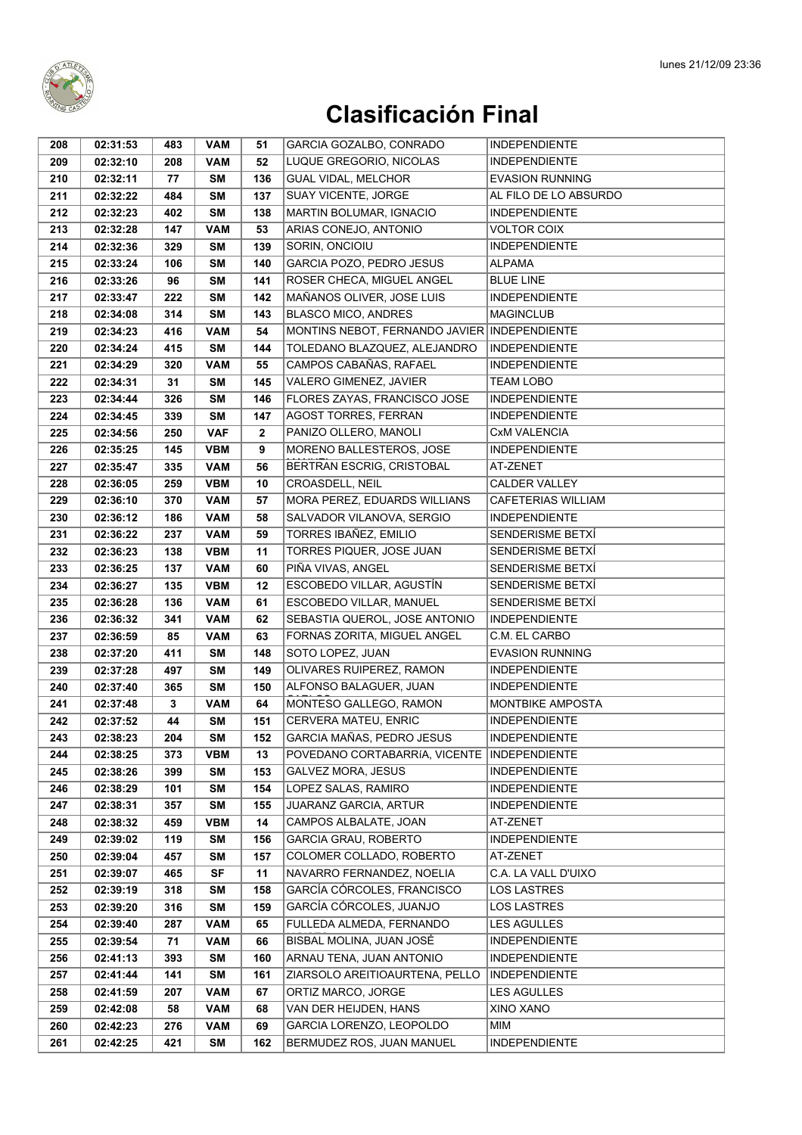

| 208        | 02:31:53             | 483          | <b>VAM</b> | 51           | GARCIA GOZALBO, CONRADO                        | <b>INDEPENDIENTE</b>             |
|------------|----------------------|--------------|------------|--------------|------------------------------------------------|----------------------------------|
| 209        | 02:32:10             | 208          | <b>VAM</b> | 52           | LUQUE GREGORIO, NICOLAS                        | <b>INDEPENDIENTE</b>             |
| 210        | 02:32:11             | 77           | <b>SM</b>  | 136          | <b>GUAL VIDAL, MELCHOR</b>                     | <b>EVASION RUNNING</b>           |
| 211        | 02:32:22             | 484          | <b>SM</b>  | 137          | SUAY VICENTE, JORGE                            | AL FILO DE LO ABSURDO            |
| 212        | 02:32:23             | 402          | <b>SM</b>  | 138          | MARTIN BOLUMAR, IGNACIO                        | <b>INDEPENDIENTE</b>             |
| 213        | 02:32:28             | 147          | <b>VAM</b> | 53           | ARIAS CONEJO, ANTONIO                          | <b>VOLTOR COIX</b>               |
| 214        | 02:32:36             | 329          | <b>SM</b>  | 139          | SORIN, ONCIOIU                                 | <b>INDEPENDIENTE</b>             |
| 215        | 02:33:24             | 106          | SΜ         | 140          | GARCIA POZO, PEDRO JESUS                       | <b>ALPAMA</b>                    |
| 216        | 02:33:26             | 96           | <b>SM</b>  | 141          | ROSER CHECA, MIGUEL ANGEL                      | <b>BLUE LINE</b>                 |
| 217        | 02:33:47             | 222          | <b>SM</b>  | 142          | MAÑANOS OLIVER, JOSE LUIS                      | <b>INDEPENDIENTE</b>             |
| 218        | 02:34:08             | 314          | <b>SM</b>  | 143          | <b>BLASCO MICO, ANDRES</b>                     | <b>MAGINCLUB</b>                 |
| 219        | 02:34:23             | 416          | <b>VAM</b> | 54           | MONTINS NEBOT, FERNANDO JAVIER INDEPENDIENTE   |                                  |
| 220        | 02:34:24             | 415          | <b>SM</b>  | 144          | TOLEDANO BLAZQUEZ, ALEJANDRO                   | <b>INDEPENDIENTE</b>             |
| 221        | 02:34:29             | 320          | <b>VAM</b> | 55           | CAMPOS CABAÑAS, RAFAEL                         | <b>INDEPENDIENTE</b>             |
| 222        | 02:34:31             | 31           | SM         | 145          | VALERO GIMENEZ, JAVIER                         | <b>TEAM LOBO</b>                 |
| 223        | 02:34:44             | 326          | <b>SM</b>  | 146          | FLORES ZAYAS, FRANCISCO JOSE                   | <b>INDEPENDIENTE</b>             |
| 224        | 02:34:45             | 339          | <b>SM</b>  | 147          | <b>AGOST TORRES, FERRAN</b>                    | <b>INDEPENDIENTE</b>             |
| 225        | 02:34:56             | 250          | <b>VAF</b> | $\mathbf{2}$ | PANIZO OLLERO, MANOLI                          | <b>CxM VALENCIA</b>              |
| 226        | 02:35:25             | 145          | <b>VBM</b> | 9            | MORENO BALLESTEROS, JOSE                       | <b>INDEPENDIENTE</b>             |
| 227        | 02:35:47             | 335          | <b>VAM</b> | 56           | BERTRAN ESCRIG, CRISTOBAL                      | AT-ZENET                         |
| 228        | 02:36:05             | 259          | <b>VBM</b> | 10           | CROASDELL, NEIL                                | <b>CALDER VALLEY</b>             |
| 229        | 02:36:10             | 370          | <b>VAM</b> | 57           | MORA PEREZ, EDUARDS WILLIANS                   | <b>CAFETERIAS WILLIAM</b>        |
| 230        | 02:36:12             | 186          | <b>VAM</b> | 58           | SALVADOR VILANOVA, SERGIO                      | <b>INDEPENDIENTE</b>             |
| 231        | 02:36:22             | 237          | <b>VAM</b> | 59           | TORRES IBAÑEZ, EMILIO                          | SENDERISME BETXÍ                 |
| 232        | 02:36:23             | 138          | <b>VBM</b> | 11           | TORRES PIQUER, JOSE JUAN                       | SENDERISME BETXÍ                 |
| 233        | 02:36:25             | 137          | <b>VAM</b> | 60           | PIÑA VIVAS, ANGEL                              | SENDERISME BETXÍ                 |
| 234        | 02:36:27             | 135          | <b>VBM</b> | 12           | ESCOBEDO VILLAR, AGUSTÍN                       | SENDERISME BETXÍ                 |
| 235        | 02:36:28             | 136          | <b>VAM</b> | 61           | ESCOBEDO VILLAR, MANUEL                        | SENDERISME BETXÍ                 |
| 236        | 02:36:32             | 341          | <b>VAM</b> | 62           | SEBASTIA QUEROL, JOSE ANTONIO                  | <b>INDEPENDIENTE</b>             |
| 237        | 02:36:59             | 85           | <b>VAM</b> | 63           | FORNAS ZORITA, MIGUEL ANGEL                    | C.M. EL CARBO                    |
| 238        | 02:37:20             | 411          | <b>SM</b>  | 148          | SOTO LOPEZ, JUAN                               | <b>EVASION RUNNING</b>           |
| 239        | 02:37:28             | 497          | <b>SM</b>  | 149          | OLIVARES RUIPEREZ, RAMON                       | <b>INDEPENDIENTE</b>             |
| 240        | 02:37:40             | 365          | <b>SM</b>  | 150          | ALFONSO BALAGUER, JUAN                         | <b>INDEPENDIENTE</b>             |
| 241        | 02:37:48             | $\mathbf{3}$ | <b>VAM</b> | 64           | MONTESO GALLEGO, RAMON                         | <b>MONTBIKE AMPOSTA</b>          |
| 242        | 02:37:52             | 44           | <b>SM</b>  | 151          | <b>CERVERA MATEU, ENRIC</b>                    | <b>INDEPENDIENTE</b>             |
| 243        | 02:38:23             | 204          | SM         | 152          | GARCIA MAÑAS, PEDRO JESUS                      | <b>INDEPENDIENTE</b>             |
| 244        | 02:38:25             | 373          | VBM        | 13           | POVEDANO CORTABARRÍA, VICENTE                  | <b>INDEPENDIENTE</b>             |
| 245        | 02:38:26             | 399          | SM         | 153          | <b>GALVEZ MORA, JESUS</b>                      | <b>INDEPENDIENTE</b>             |
| 246        | 02:38:29             | 101          | SM         | 154          | LOPEZ SALAS, RAMIRO                            | <b>INDEPENDIENTE</b>             |
| 247        | 02:38:31             | 357          | SM         | 155          | JUARANZ GARCIA, ARTUR<br>CAMPOS ALBALATE, JOAN | <b>INDEPENDIENTE</b>             |
| 248<br>249 | 02:38:32<br>02:39:02 | 459<br>119   | VBM<br>SΜ  | 14<br>156    | <b>GARCIA GRAU, ROBERTO</b>                    | AT-ZENET<br><b>INDEPENDIENTE</b> |
| 250        | 02:39:04             | 457          | <b>SM</b>  | 157          | COLOMER COLLADO, ROBERTO                       | AT-ZENET                         |
| 251        | 02:39:07             | 465          | SF         | 11           | NAVARRO FERNANDEZ, NOELIA                      | C.A. LA VALL D'UIXO              |
| 252        | 02:39:19             | 318          | SM         | 158          | GARCÍA CÓRCOLES, FRANCISCO                     | <b>LOS LASTRES</b>               |
| 253        | 02:39:20             | 316          | SM         | 159          | GARCÍA CÓRCOLES, JUANJO                        | <b>LOS LASTRES</b>               |
| 254        | 02:39:40             | 287          | VAM        | 65           | FULLEDA ALMEDA, FERNANDO                       | <b>LES AGULLES</b>               |
| 255        | 02:39:54             | 71           | <b>VAM</b> | 66           | BISBAL MOLINA, JUAN JOSÉ                       | <b>INDEPENDIENTE</b>             |
| 256        | 02:41:13             | 393          | SM         | 160          | ARNAU TENA, JUAN ANTONIO                       | <b>INDEPENDIENTE</b>             |
| 257        | 02:41:44             | 141          | SM         | 161          | ZIARSOLO AREITIOAURTENA, PELLO                 | <b>INDEPENDIENTE</b>             |
| 258        | 02:41:59             | 207          | <b>VAM</b> | 67           | ORTIZ MARCO, JORGE                             | <b>LES AGULLES</b>               |
| 259        | 02:42:08             | 58           | <b>VAM</b> | 68           | VAN DER HEIJDEN, HANS                          | XINO XANO                        |
| 260        | 02:42:23             | 276          | <b>VAM</b> | 69           | GARCIA LORENZO, LEOPOLDO                       | МIМ                              |
| 261        | 02:42:25             | 421          | SM         | 162          | BERMUDEZ ROS, JUAN MANUEL                      | <b>INDEPENDIENTE</b>             |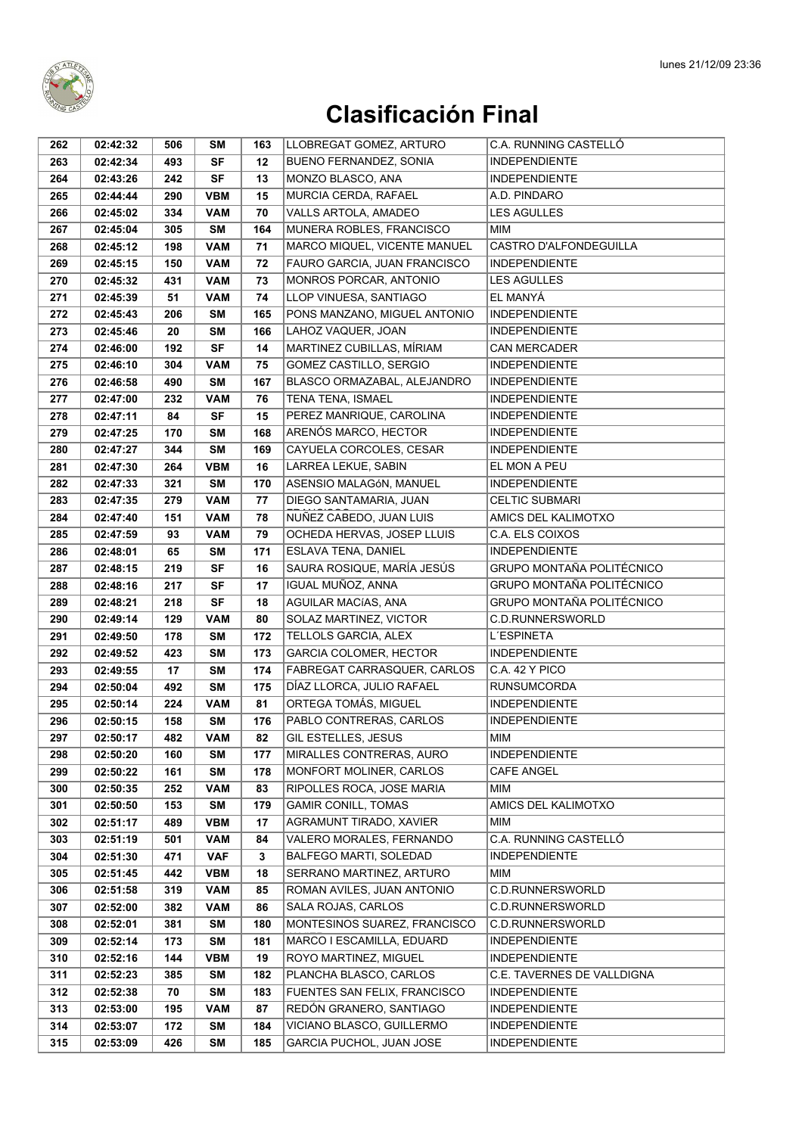

| LLOBREGAT GOMEZ, ARTURO<br>262<br>02:42:32<br>SΜ<br>163<br>506                                                                                                        | C.A. RUNNING CASTELLÓ      |
|-----------------------------------------------------------------------------------------------------------------------------------------------------------------------|----------------------------|
| <b>SF</b><br>263<br>02:42:34<br>493<br>12<br><b>BUENO FERNANDEZ, SONIA</b><br><b>INDEPENDIENTE</b>                                                                    |                            |
| MONZO BLASCO, ANA<br><b>INDEPENDIENTE</b><br>264<br>02:43:26<br><b>SF</b><br>13<br>242                                                                                |                            |
| <b>VBM</b><br>15<br>MURCIA CERDA, RAFAEL<br>A.D. PINDARO<br>265<br>02:44:44<br>290                                                                                    |                            |
| VALLS ARTOLA, AMADEO<br><b>LES AGULLES</b><br>334<br>70<br>266<br>02:45:02<br><b>VAM</b>                                                                              |                            |
| MUNERA ROBLES, FRANCISCO<br>267<br>305<br><b>SM</b><br>164<br>MIM<br>02:45:04                                                                                         |                            |
| MARCO MIQUEL, VICENTE MANUEL<br>198<br><b>VAM</b><br>71<br>268<br>02:45:12                                                                                            | CASTRO D'ALFONDEGUILLA     |
| 269<br><b>VAM</b><br>72<br>FAURO GARCIA, JUAN FRANCISCO<br>02:45:15<br>150<br><b>INDEPENDIENTE</b>                                                                    |                            |
| MONROS PORCAR, ANTONIO<br><b>LES AGULLES</b><br><b>VAM</b><br>73<br>270<br>02:45:32<br>431                                                                            |                            |
| LLOP VINUESA, SANTIAGO<br>EL MANYÁ<br>51<br><b>VAM</b><br>74<br>271<br>02:45:39                                                                                       |                            |
| PONS MANZANO, MIGUEL ANTONIO<br><b>INDEPENDIENTE</b><br>272<br>02:45:43<br><b>SM</b><br>165<br>206                                                                    |                            |
| 166<br>LAHOZ VAQUER, JOAN<br><b>INDEPENDIENTE</b><br>273<br>02:45:46<br>20<br><b>SM</b>                                                                               |                            |
| <b>SF</b><br>14<br>MARTINEZ CUBILLAS, MÍRIAM<br>274<br>02:46:00<br>192<br><b>CAN MERCADER</b>                                                                         |                            |
| GOMEZ CASTILLO, SERGIO<br>275<br>02:46:10<br><b>VAM</b><br>75<br><b>INDEPENDIENTE</b><br>304                                                                          |                            |
| BLASCO ORMAZABAL, ALEJANDRO<br>167<br><b>INDEPENDIENTE</b><br>276<br>02:46:58<br>490<br>SΜ                                                                            |                            |
| TENA TENA, ISMAEL<br>232<br><b>VAM</b><br>76<br><b>INDEPENDIENTE</b><br>277<br>02:47:00                                                                               |                            |
| 84<br><b>SF</b><br>15<br>PEREZ MANRIQUE, CAROLINA<br>278<br>02:47:11<br><b>INDEPENDIENTE</b>                                                                          |                            |
| ARENÓS MARCO, HECTOR<br>279<br>170<br><b>SM</b><br>168<br><b>INDEPENDIENTE</b><br>02:47:25                                                                            |                            |
| 280<br>344<br><b>SM</b><br>169<br>CAYUELA CORCOLES, CESAR<br>02:47:27<br><b>INDEPENDIENTE</b>                                                                         |                            |
| 16<br>LARREA LEKUE, SABIN<br>281<br><b>VBM</b><br>EL MON A PEU<br>02:47:30<br>264                                                                                     |                            |
| 282<br>321<br><b>SM</b><br>170<br>ASENSIO MALAGÓN, MANUEL<br><b>INDEPENDIENTE</b><br>02:47:33                                                                         |                            |
| DIEGO SANTAMARIA, JUAN<br><b>CELTIC SUBMARI</b><br>283<br>02:47:35<br>279<br><b>VAM</b><br>77                                                                         |                            |
| 284<br><b>VAM</b><br>78<br>NUÑEZ CABEDO, JUAN LUIS<br>02:47:40<br>151                                                                                                 | AMICS DEL KALIMOTXO        |
| OCHEDA HERVAS, JOSEP LLUIS<br>C.A. ELS COIXOS<br>285<br>02:47:59<br><b>VAM</b><br>79<br>93                                                                            |                            |
| 171<br>ESLAVA TENA, DANIEL<br><b>INDEPENDIENTE</b><br>286<br>02:48:01<br>65<br>SΜ                                                                                     |                            |
| SAURA ROSIQUE, MARÍA JESÚS<br><b>SF</b><br>16<br>287<br>02:48:15<br>219                                                                                               | GRUPO MONTAÑA POLITÉCNICO  |
| IGUAL MUÑOZ, ANNA<br>02:48:16<br><b>SF</b><br>17<br>288<br>217                                                                                                        | GRUPO MONTAÑA POLITÉCNICO  |
| <b>SF</b><br>AGUILAR MACÍAS, ANA<br>18<br>289<br>02:48:21<br>218                                                                                                      | GRUPO MONTAÑA POLITÉCNICO  |
| 290<br>129<br><b>VAM</b><br>80<br>SOLAZ MARTINEZ, VICTOR<br>02:49:14                                                                                                  | C.D.RUNNERSWORLD           |
| TELLOLS GARCIA, ALEX<br><b>SM</b><br>172<br>L'ESPINETA<br>291<br>02:49:50<br>178                                                                                      |                            |
| GARCIA COLOMER, HECTOR<br><b>INDEPENDIENTE</b><br>423<br><b>SM</b><br>173<br>292<br>02:49:52                                                                          |                            |
| 293<br>02:49:55<br>17<br><b>SM</b><br>174<br>FABREGAT CARRASQUER, CARLOS<br>C.A. 42 Y PICO                                                                            |                            |
| 294<br>492<br><b>SM</b><br>175<br>DÍAZ LLORCA, JULIO RAFAEL<br><b>RUNSUMCORDA</b><br>02:50:04                                                                         |                            |
| ORTEGA TOMÁS, MIGUEL<br>81<br><b>INDEPENDIENTE</b><br>295<br>02:50:14<br>224<br><b>VAM</b>                                                                            |                            |
| PABLO CONTRERAS, CARLOS<br>176<br><b>INDEPENDIENTE</b><br><b>SM</b><br>296<br>02:50:15<br>158                                                                         |                            |
| 297<br>482<br><b>VAM</b><br>82<br>GIL ESTELLES, JESUS<br>02:50:17<br>MIM                                                                                              |                            |
| MIRALLES CONTRERAS, AURO<br><b>INDEPENDIENTE</b><br>298<br>02:50:20<br>160<br>SΜ<br>177                                                                               |                            |
| 299<br>02:50:22<br>161<br><b>SM</b><br>178<br>MONFORT MOLINER, CARLOS<br><b>CAFE ANGEL</b>                                                                            |                            |
| RIPOLLES ROCA, JOSE MARIA<br><b>VAM</b><br>83<br>MIM<br>300<br>02:50:35<br>252                                                                                        |                            |
| <b>SM</b><br>179<br><b>GAMIR CONILL, TOMAS</b><br>301<br>02:50:50<br>153                                                                                              | AMICS DEL KALIMOTXO        |
| <b>VBM</b><br>17<br>AGRAMUNT TIRADO, XAVIER<br>MIM<br>302<br>02:51:17<br>489                                                                                          | C.A. RUNNING CASTELLÓ      |
| <b>VAM</b><br>VALERO MORALES, FERNANDO<br>303<br>02:51:19<br>501<br>84<br>BALFEGO MARTI, SOLEDAD<br><b>INDEPENDIENTE</b><br><b>VAF</b><br>3<br>304<br>02:51:30<br>471 |                            |
| <b>VBM</b><br>18<br>SERRANO MARTINEZ, ARTURO<br>MIM<br>305<br>02:51:45<br>442                                                                                         |                            |
| ROMAN AVILES, JUAN ANTONIO<br>02:51:58<br><b>VAM</b><br>85<br>306<br>319                                                                                              | C.D.RUNNERSWORLD           |
| 86<br>SALA ROJAS, CARLOS<br>307<br>02:52:00<br>382<br><b>VAM</b>                                                                                                      | C.D.RUNNERSWORLD           |
| MONTESINOS SUAREZ, FRANCISCO<br>180<br>308<br>02:52:01<br>381<br>SΜ                                                                                                   | C.D.RUNNERSWORLD           |
| 181<br>309<br>02:52:14<br>173<br><b>SM</b><br>MARCO I ESCAMILLA, EDUARD<br><b>INDEPENDIENTE</b>                                                                       |                            |
| 19<br>ROYO MARTINEZ, MIGUEL<br>310<br>02:52:16<br>144<br><b>VBM</b><br><b>INDEPENDIENTE</b>                                                                           |                            |
| 311<br>02:52:23<br>182<br>PLANCHA BLASCO, CARLOS<br>385<br><b>SM</b>                                                                                                  | C.E. TAVERNES DE VALLDIGNA |
| FUENTES SAN FELIX, FRANCISCO<br>312<br>02:52:38<br><b>SM</b><br>183<br><b>INDEPENDIENTE</b><br>70                                                                     |                            |
| REDÓN GRANERO, SANTIAGO<br>313<br>02:53:00<br>195<br><b>VAM</b><br>87<br><b>INDEPENDIENTE</b>                                                                         |                            |
| 314<br>184<br>VICIANO BLASCO, GUILLERMO<br><b>INDEPENDIENTE</b><br>02:53:07<br>172<br><b>SM</b>                                                                       |                            |
|                                                                                                                                                                       |                            |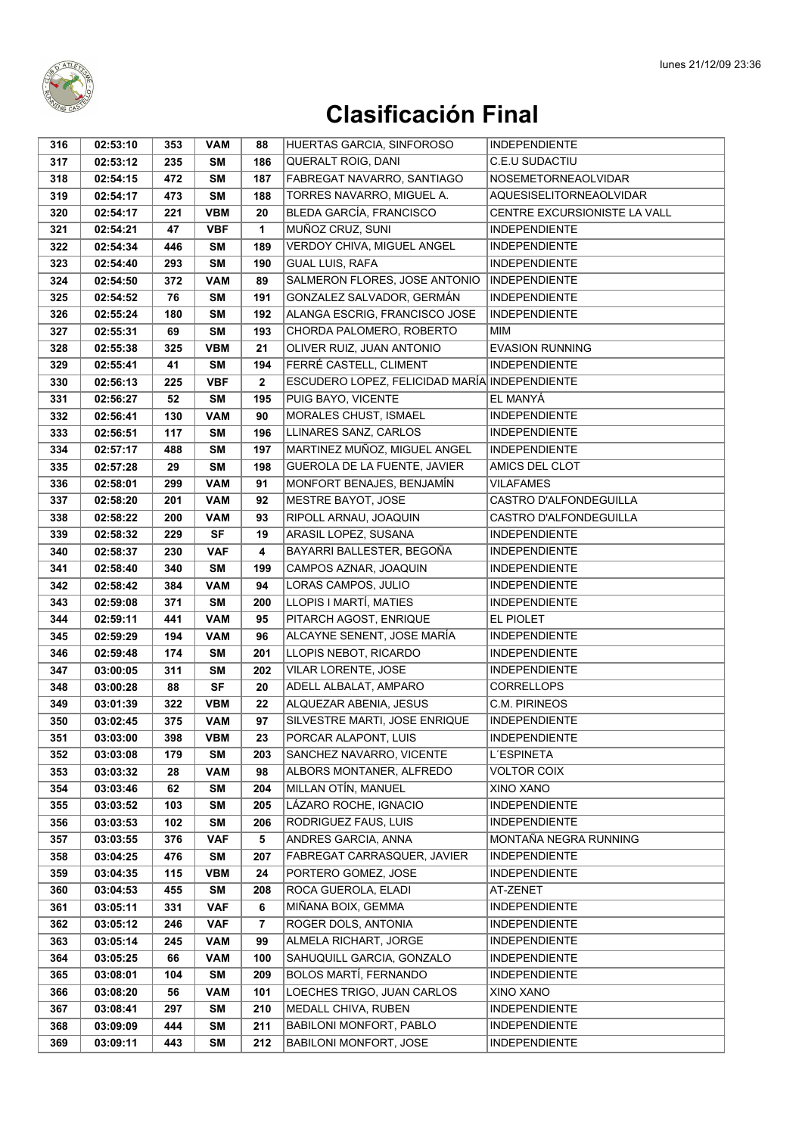

| 316 | 02:53:10 | 353 | <b>VAM</b> | 88                      | HUERTAS GARCIA, SINFOROSO                     | <b>INDEPENDIENTE</b>           |
|-----|----------|-----|------------|-------------------------|-----------------------------------------------|--------------------------------|
| 317 | 02:53:12 | 235 | <b>SM</b>  | 186                     | <b>QUERALT ROIG, DANI</b>                     | C.E.U SUDACTIU                 |
| 318 | 02:54:15 | 472 | <b>SM</b>  | 187                     | FABREGAT NAVARRO, SANTIAGO                    | NOSEMETORNEAOLVIDAR            |
| 319 | 02:54:17 | 473 | <b>SM</b>  | 188                     | TORRES NAVARRO, MIGUEL A.                     | <b>AQUESISELITORNEAOLVIDAR</b> |
| 320 | 02:54:17 | 221 | <b>VBM</b> | 20                      | <b>BLEDA GARCÍA, FRANCISCO</b>                | CENTRE EXCURSIONISTE LA VALL   |
| 321 | 02:54:21 | 47  | <b>VBF</b> | 1                       | MUÑOZ CRUZ, SUNI                              | <b>INDEPENDIENTE</b>           |
| 322 | 02:54:34 | 446 | SΜ         | 189                     | VERDOY CHIVA, MIGUEL ANGEL                    | <b>INDEPENDIENTE</b>           |
| 323 | 02:54:40 | 293 | <b>SM</b>  | 190                     | <b>GUAL LUIS, RAFA</b>                        | <b>INDEPENDIENTE</b>           |
| 324 | 02:54:50 | 372 | <b>VAM</b> | 89                      | SALMERON FLORES, JOSE ANTONIO                 | <b>INDEPENDIENTE</b>           |
| 325 | 02:54:52 | 76  | SΜ         | 191                     | GONZALEZ SALVADOR, GERMÁN                     | <b>INDEPENDIENTE</b>           |
| 326 | 02:55:24 | 180 | <b>SM</b>  | 192                     | ALANGA ESCRIG, FRANCISCO JOSE                 | <b>INDEPENDIENTE</b>           |
| 327 | 02:55:31 | 69  | <b>SM</b>  | 193                     | CHORDA PALOMERO, ROBERTO                      | <b>MIM</b>                     |
| 328 | 02:55:38 | 325 | <b>VBM</b> | 21                      | OLIVER RUIZ, JUAN ANTONIO                     | <b>EVASION RUNNING</b>         |
| 329 | 02:55:41 | 41  | <b>SM</b>  | 194                     | FERRÉ CASTELL, CLIMENT                        | <b>INDEPENDIENTE</b>           |
| 330 | 02:56:13 | 225 | <b>VBF</b> | $\overline{\mathbf{2}}$ | ESCUDERO LOPEZ, FELICIDAD MARÍA INDEPENDIENTE |                                |
| 331 | 02:56:27 | 52  | <b>SM</b>  | 195                     | PUIG BAYO, VICENTE                            | EL MANYÁ                       |
| 332 | 02:56:41 | 130 | <b>VAM</b> | 90                      | <b>MORALES CHUST, ISMAEL</b>                  | <b>INDEPENDIENTE</b>           |
| 333 | 02:56:51 | 117 | <b>SM</b>  | 196                     | LLINARES SANZ, CARLOS                         | <b>INDEPENDIENTE</b>           |
| 334 | 02:57:17 | 488 | <b>SM</b>  | 197                     | MARTINEZ MUÑOZ, MIGUEL ANGEL                  | <b>INDEPENDIENTE</b>           |
| 335 | 02:57:28 | 29  | <b>SM</b>  | 198                     | GUEROLA DE LA FUENTE, JAVIER                  | AMICS DEL CLOT                 |
| 336 | 02:58:01 | 299 | <b>VAM</b> | 91                      | MONFORT BENAJES, BENJAMÍN                     | VILAFAMES                      |
| 337 | 02:58:20 | 201 | <b>VAM</b> | 92                      | MESTRE BAYOT, JOSE                            | CASTRO D'ALFONDEGUILLA         |
| 338 | 02:58:22 | 200 | <b>VAM</b> | 93                      | RIPOLL ARNAU, JOAQUIN                         | CASTRO D'ALFONDEGUILLA         |
| 339 | 02:58:32 | 229 | <b>SF</b>  | 19                      | ARASIL LOPEZ, SUSANA                          | <b>INDEPENDIENTE</b>           |
| 340 | 02:58:37 | 230 | <b>VAF</b> | 4                       | BAYARRI BALLESTER, BEGOÑA                     | <b>INDEPENDIENTE</b>           |
| 341 | 02:58:40 | 340 | SΜ         | 199                     | CAMPOS AZNAR, JOAQUIN                         | <b>INDEPENDIENTE</b>           |
| 342 | 02:58:42 | 384 | <b>VAM</b> | 94                      | LORAS CAMPOS, JULIO                           | <b>INDEPENDIENTE</b>           |
| 343 | 02:59:08 | 371 | <b>SM</b>  | 200                     | LLOPIS I MARTÍ, MATIES                        | <b>INDEPENDIENTE</b>           |
| 344 | 02:59:11 | 441 | <b>VAM</b> | 95                      | PITARCH AGOST, ENRIQUE                        | EL PIOLET                      |
| 345 | 02:59:29 | 194 | <b>VAM</b> | 96                      | ALCAYNE SENENT, JOSE MARÍA                    | <b>INDEPENDIENTE</b>           |
| 346 | 02:59:48 | 174 | <b>SM</b>  | 201                     | LLOPIS NEBOT, RICARDO                         | <b>INDEPENDIENTE</b>           |
| 347 | 03:00:05 | 311 | <b>SM</b>  | 202                     | VILAR LORENTE, JOSE                           | <b>INDEPENDIENTE</b>           |
| 348 | 03:00:28 | 88  | <b>SF</b>  | 20                      | ADELL ALBALAT, AMPARO                         | <b>CORRELLOPS</b>              |
| 349 | 03:01:39 | 322 | <b>VBM</b> | 22                      | ALQUEZAR ABENIA, JESUS                        | <b>C.M. PIRINEOS</b>           |
| 350 | 03:02:45 | 375 | <b>VAM</b> | 97                      | SILVESTRE MARTI, JOSE ENRIQUE                 | <b>INDEPENDIENTE</b>           |
| 351 | 03:03:00 | 398 | <b>VBM</b> | 23                      | PORCAR ALAPONT, LUIS                          | <b>INDEPENDIENTE</b>           |
| 352 | 03:03:08 | 179 | SΜ         | 203                     | SANCHEZ NAVARRO, VICENTE                      | L'ESPINETA                     |
| 353 | 03:03:32 | 28  | VAM        | 98                      | ALBORS MONTANER, ALFREDO                      | VOLTOR COIX                    |
| 354 | 03:03:46 | 62  | SΜ         | 204                     | MILLAN OTÍN, MANUEL                           | XINO XANO                      |
| 355 | 03:03:52 | 103 | <b>SM</b>  | 205                     | LÁZARO ROCHE, IGNACIO                         | <b>INDEPENDIENTE</b>           |
| 356 | 03:03:53 | 102 | <b>SM</b>  | 206                     | RODRIGUEZ FAUS, LUIS                          | <b>INDEPENDIENTE</b>           |
| 357 | 03:03:55 | 376 | <b>VAF</b> | 5                       | ANDRES GARCIA, ANNA                           | MONTAÑA NEGRA RUNNING          |
| 358 | 03:04:25 | 476 | <b>SM</b>  | 207                     | FABREGAT CARRASQUER, JAVIER                   | <b>INDEPENDIENTE</b>           |
| 359 | 03:04:35 | 115 | <b>VBM</b> | 24                      | PORTERO GOMEZ, JOSE                           | <b>INDEPENDIENTE</b>           |
| 360 | 03:04:53 | 455 | <b>SM</b>  | 208                     | ROCA GUEROLA, ELADI                           | AT-ZENET                       |
| 361 | 03:05:11 | 331 | <b>VAF</b> | 6                       | MIÑANA BOIX, GEMMA                            | <b>INDEPENDIENTE</b>           |
| 362 | 03:05:12 | 246 | <b>VAF</b> | 7                       | ROGER DOLS, ANTONIA                           | <b>INDEPENDIENTE</b>           |
| 363 | 03:05:14 | 245 | <b>VAM</b> | 99                      | ALMELA RICHART, JORGE                         | <b>INDEPENDIENTE</b>           |
| 364 | 03:05:25 | 66  | <b>VAM</b> | 100                     | SAHUQUILL GARCIA, GONZALO                     | <b>INDEPENDIENTE</b>           |
| 365 | 03:08:01 | 104 | <b>SM</b>  | 209                     | BOLOS MARTÍ, FERNANDO                         | <b>INDEPENDIENTE</b>           |
| 366 | 03:08:20 | 56  | <b>VAM</b> | 101                     | LOECHES TRIGO, JUAN CARLOS                    | XINO XANO                      |
| 367 | 03:08:41 | 297 | <b>SM</b>  | 210                     | MEDALL CHIVA, RUBEN                           | <b>INDEPENDIENTE</b>           |
| 368 | 03:09:09 | 444 | <b>SM</b>  | 211                     | BABILONI MONFORT, PABLO                       | <b>INDEPENDIENTE</b>           |
| 369 | 03:09:11 | 443 | <b>SM</b>  | 212                     | <b>BABILONI MONFORT, JOSE</b>                 | <b>INDEPENDIENTE</b>           |